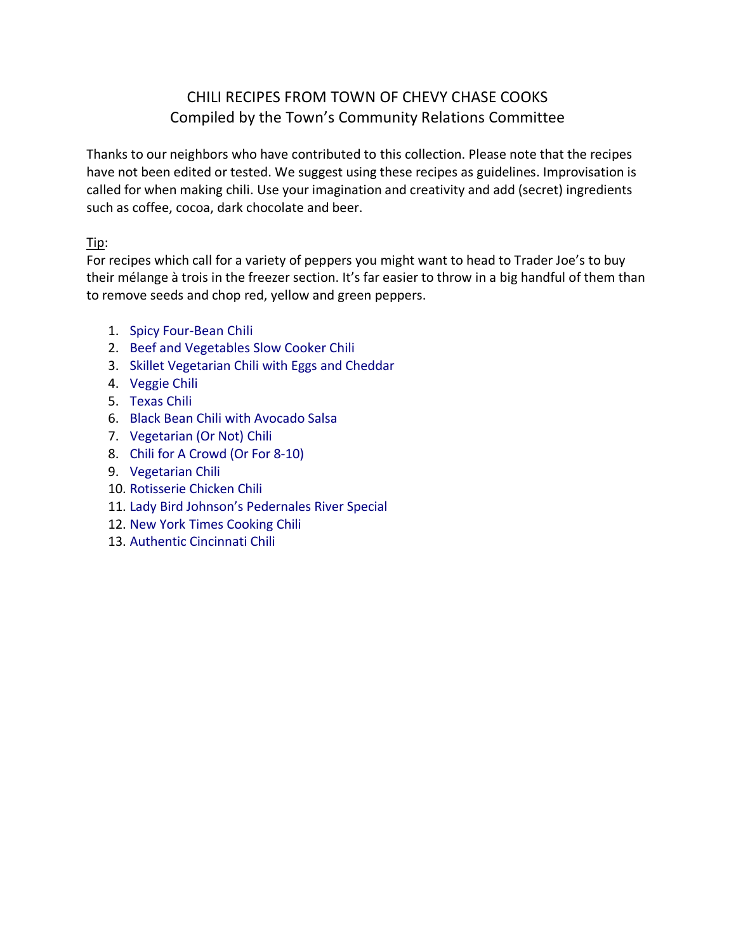## CHILI RECIPES FROM TOWN OF CHEVY CHASE COOKS Compiled by the Town's Community Relations Committee

Thanks to our neighbors who have contributed to this collection. Please note that the recipes have not been edited or tested. We suggest using these recipes as guidelines. Improvisation is called for when making chili. Use your imagination and creativity and add (secret) ingredients such as coffee, cocoa, dark chocolate and beer.

### Tip:

For recipes which call for a variety of peppers you might want to head to Trader Joe's to buy their mélange à trois in the freezer section. It's far easier to throw in a big handful of them than to remove seeds and chop red, yellow and green peppers.

- **图 [Spicy Four-Bean Chili](#page-1-0)**
- **R** Beef and [Vegetables Slow Cooker Chili](#page-2-0)
- **E** [Skillet Vegetarian Chili with Eggs and Cheddar](#page-3-0)
- **D** [Veggie Chili](#page-4-0)
- ñ<sup>2</sup> [Texas Chili](#page-6-0)
- **D** [Black Bean Chili with Avocado Salsa](#page-7-0)
- **D** [Vegetarian \(Or Not\) Chili](#page-9-0)
- **D** [Chili for A Crowd \(Or For 8-10\)](#page-10-0)
- **D** [Vegetarian Chili](#page-11-0)
- **图 [Rotisserie Chicken Chili](#page-12-0)**
- **Im** [Lady Bird Johnson's Pedernales River Special](#page-13-0)
- **图 New York [Times Cooking Chili](#page-14-0)**
- **图 [Authentic Cincinnati Chili](#page-16-0)**
- íð dið v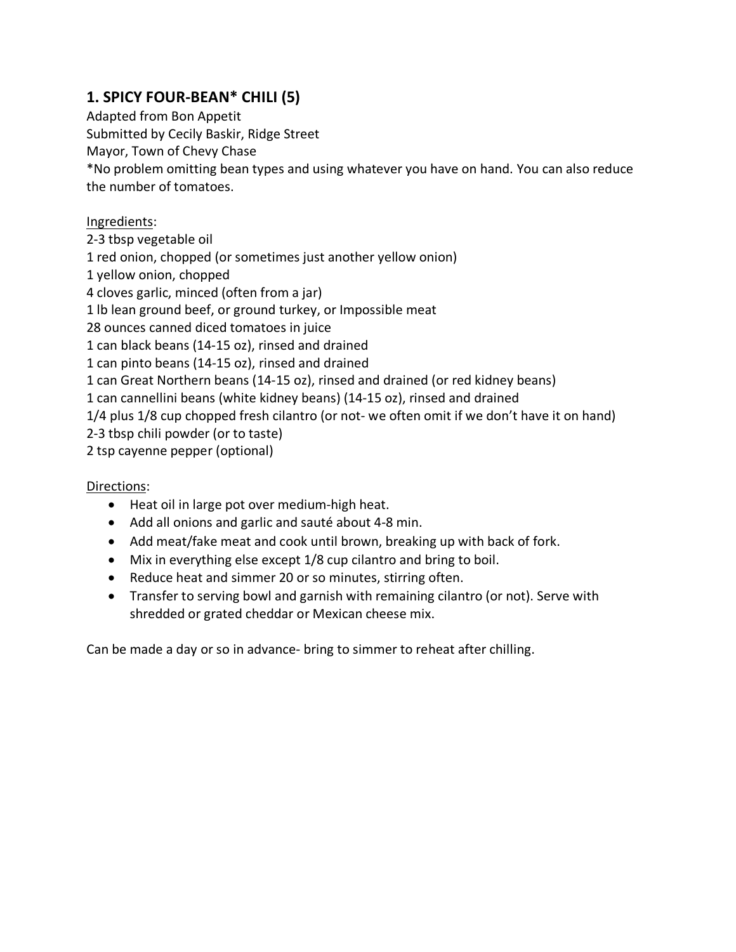# <span id="page-1-0"></span>**1. SPICY FOUR-BEAN\* CHILI (5)**

Adapted from Bon Appetit Submitted by Cecily Baskir, Ridge Street Mayor, Town of Chevy Chase \*No problem omitting bean types and using whatever you have on hand. You can also reduce the number of tomatoes.

### Ingredients:

- 2-3 tbsp vegetable oil
- 1 red onion, chopped (or sometimes just another yellow onion)
- 1 yellow onion, chopped
- 4 cloves garlic, minced (often from a jar)
- 1 lb lean ground beef, or ground turkey, or Impossible meat
- 28 ounces canned diced tomatoes in juice
- 1 can black beans (14-15 oz), rinsed and drained
- 1 can pinto beans (14-15 oz), rinsed and drained
- 1 can Great Northern beans (14-15 oz), rinsed and drained (or red kidney beans)
- 1 can cannellini beans (white kidney beans) (14-15 oz), rinsed and drained
- 1/4 plus 1/8 cup chopped fresh cilantro (or not- we often omit if we don't have it on hand)
- 2-3 tbsp chili powder (or to taste)
- 2 tsp cayenne pepper (optional)

### Directions:

- Heat oil in large pot over medium-high heat.
- Add all onions and garlic and sauté about 4-8 min.
- Add meat/fake meat and cook until brown, breaking up with back of fork.
- Mix in everything else except 1/8 cup cilantro and bring to boil.
- Reduce heat and simmer 20 or so minutes, stirring often.
- Transfer to serving bowl and garnish with remaining cilantro (or not). Serve with shredded or grated cheddar or Mexican cheese mix.

Can be made a day or so in advance- bring to simmer to reheat after chilling.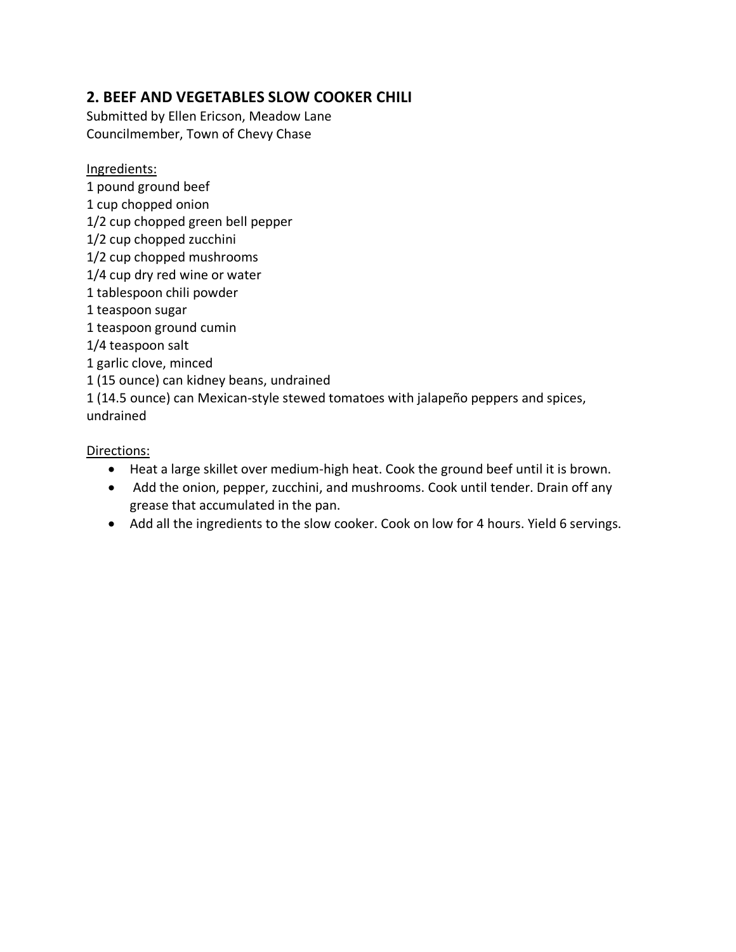### <span id="page-2-0"></span>**2. BEEF AND VEGETABLES SLOW COOKER CHILI**

Submitted by Ellen Ericson, Meadow Lane Councilmember, Town of Chevy Chase

Ingredients:

1 pound ground beef 1 cup chopped onion 1/2 cup chopped green bell pepper 1/2 cup chopped zucchini 1/2 cup chopped mushrooms 1/4 cup dry red wine or water 1 tablespoon chili powder 1 teaspoon sugar 1 teaspoon ground cumin 1/4 teaspoon salt 1 garlic clove, minced 1 (15 ounce) can kidney beans, undrained 1 (14.5 ounce) can Mexican-style stewed tomatoes with jalapeño peppers and spices, undrained

- Heat a large skillet over medium-high heat. Cook the ground beef until it is brown.
- Add the onion, pepper, zucchini, and mushrooms. Cook until tender. Drain off any grease that accumulated in the pan.
- Add all the ingredients to the slow cooker. Cook on low for 4 hours. Yield 6 servings.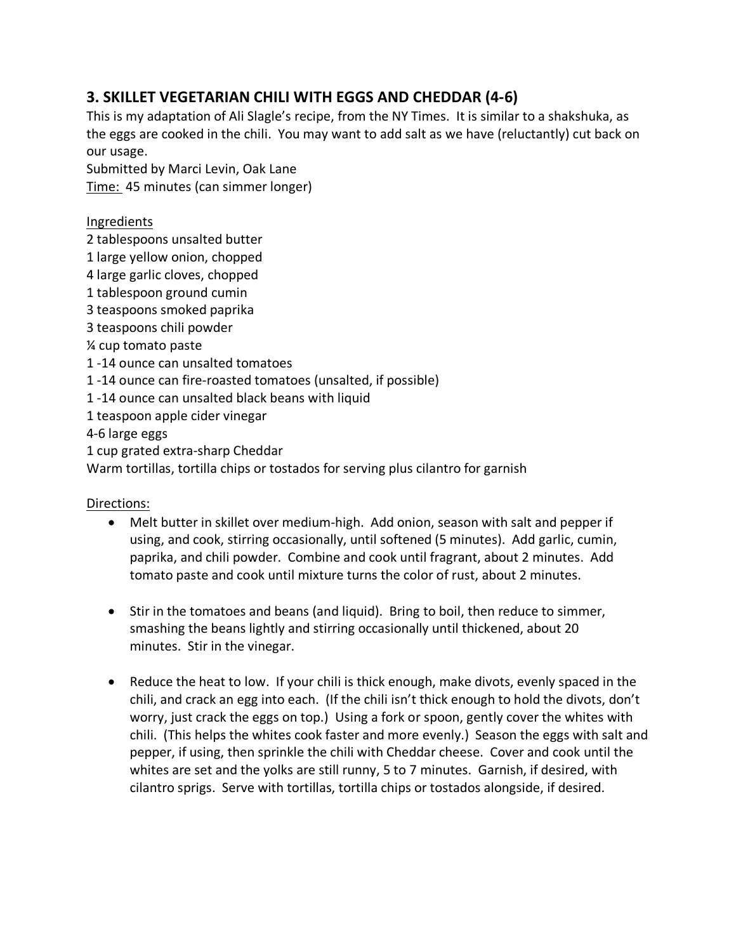## <span id="page-3-0"></span>**3. SKILLET VEGETARIAN CHILI WITH EGGS AND CHEDDAR (4-6)**

This is my adaptation of Ali Slagle's recipe, from the NY Times. It is similar to a shakshuka, as the eggs are cooked in the chili. You may want to add salt as we have (reluctantly) cut back on our usage.

Submitted by Marci Levin, Oak Lane Time: 45 minutes (can simmer longer)

### Ingredients

2 tablespoons unsalted butter

1 large yellow onion, chopped

4 large garlic cloves, chopped

1 tablespoon ground cumin

3 teaspoons smoked paprika

3 teaspoons chili powder

¼ cup tomato paste

1 -14 ounce can unsalted tomatoes

1 -14 ounce can fire-roasted tomatoes (unsalted, if possible)

1 -14 ounce can unsalted black beans with liquid

1 teaspoon apple cider vinegar

4-6 large eggs

1 cup grated extra-sharp Cheddar

Warm tortillas, tortilla chips or tostados for serving plus cilantro for garnish

- Melt butter in skillet over medium-high. Add onion, season with salt and pepper if using, and cook, stirring occasionally, until softened (5 minutes). Add garlic, cumin, paprika, and chili powder. Combine and cook until fragrant, about 2 minutes. Add tomato paste and cook until mixture turns the color of rust, about 2 minutes.
- Stir in the tomatoes and beans (and liquid). Bring to boil, then reduce to simmer, smashing the beans lightly and stirring occasionally until thickened, about 20 minutes. Stir in the vinegar.
- Reduce the heat to low. If your chili is thick enough, make divots, evenly spaced in the chili, and crack an egg into each. (If the chili isn't thick enough to hold the divots, don't worry, just crack the eggs on top.) Using a fork or spoon, gently cover the whites with chili. (This helps the whites cook faster and more evenly.) Season the eggs with salt and pepper, if using, then sprinkle the chili with Cheddar cheese. Cover and cook until the whites are set and the yolks are still runny, 5 to 7 minutes. Garnish, if desired, with cilantro sprigs. Serve with tortillas, tortilla chips or tostados alongside, if desired.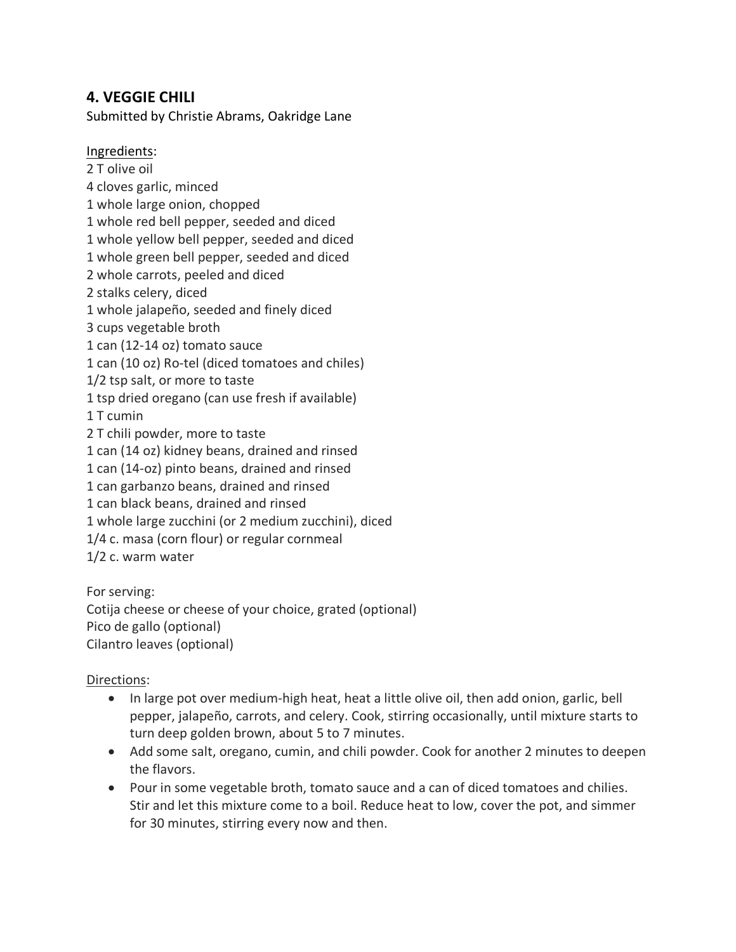### <span id="page-4-0"></span>**4. VEGGIE CHILI**

Submitted by Christie Abrams, Oakridge Lane

Ingredients:

2 T olive oil 4 cloves garlic, minced 1 whole large onion, chopped 1 whole red bell pepper, seeded and diced 1 whole yellow bell pepper, seeded and diced 1 whole green bell pepper, seeded and diced 2 whole carrots, peeled and diced 2 stalks celery, diced 1 whole jalapeño, seeded and finely diced 3 cups vegetable broth 1 can (12-14 oz) tomato sauce 1 can (10 oz) Ro-tel (diced tomatoes and chiles) 1/2 tsp salt, or more to taste 1 tsp dried oregano (can use fresh if available) 1 T cumin 2 T chili powder, more to taste 1 can (14 oz) kidney beans, drained and rinsed 1 can (14-oz) pinto beans, drained and rinsed 1 can garbanzo beans, drained and rinsed 1 can black beans, drained and rinsed 1 whole large zucchini (or 2 medium zucchini), diced 1/4 c. masa (corn flour) or regular cornmeal 1/2 c. warm water

For serving: Cotija cheese or cheese of your choice, grated (optional) Pico de gallo (optional) Cilantro leaves (optional)

- In large pot over medium-high heat, heat a little olive oil, then add onion, garlic, bell pepper, jalapeño, carrots, and celery. Cook, stirring occasionally, until mixture starts to turn deep golden brown, about 5 to 7 minutes.
- Add some salt, oregano, cumin, and chili powder. Cook for another 2 minutes to deepen the flavors.
- Pour in some vegetable broth, tomato sauce and a can of diced tomatoes and chilies. Stir and let this mixture come to a boil. Reduce heat to low, cover the pot, and simmer for 30 minutes, stirring every now and then.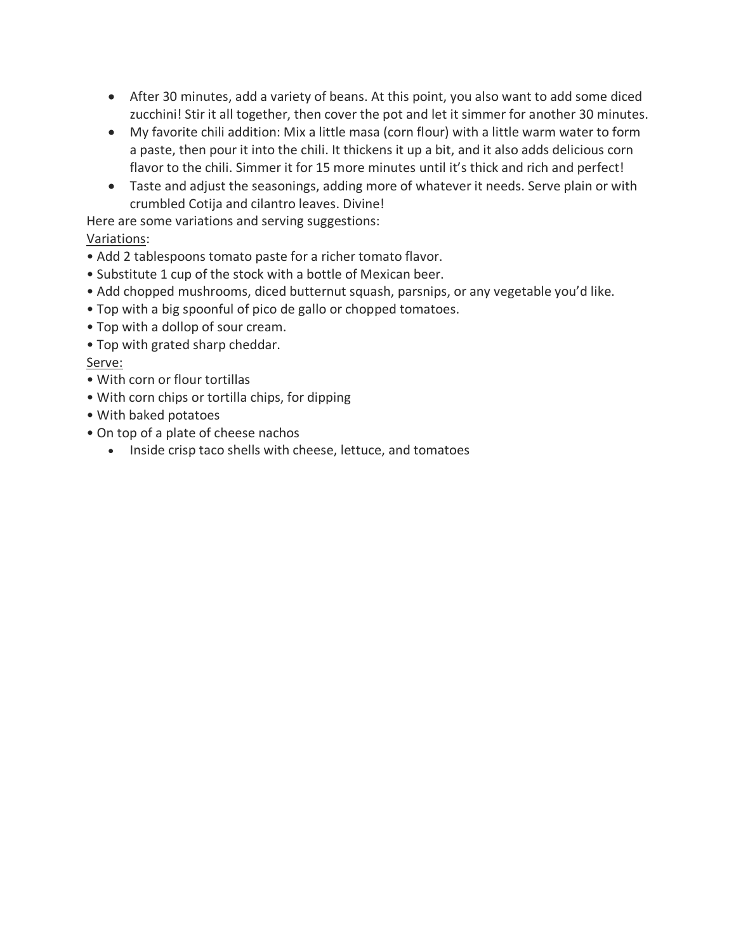- After 30 minutes, add a variety of beans. At this point, you also want to add some diced zucchini! Stir it all together, then cover the pot and let it simmer for another 30 minutes.
- My favorite chili addition: Mix a little masa (corn flour) with a little warm water to form a paste, then pour it into the chili. It thickens it up a bit, and it also adds delicious corn flavor to the chili. Simmer it for 15 more minutes until it's thick and rich and perfect!
- Taste and adjust the seasonings, adding more of whatever it needs. Serve plain or with crumbled Cotija and cilantro leaves. Divine!

Here are some variations and serving suggestions:

### Variations:

- Add 2 tablespoons tomato paste for a richer tomato flavor.
- Substitute 1 cup of the stock with a bottle of Mexican beer.
- Add chopped mushrooms, diced butternut squash, parsnips, or any vegetable you'd like.
- Top with a big spoonful of pico de gallo or chopped tomatoes.
- Top with a dollop of sour cream.
- Top with grated sharp cheddar.

### Serve:

- With corn or flour tortillas
- With corn chips or tortilla chips, for dipping
- With baked potatoes
- On top of a plate of cheese nachos
	- Inside crisp taco shells with cheese, lettuce, and tomatoes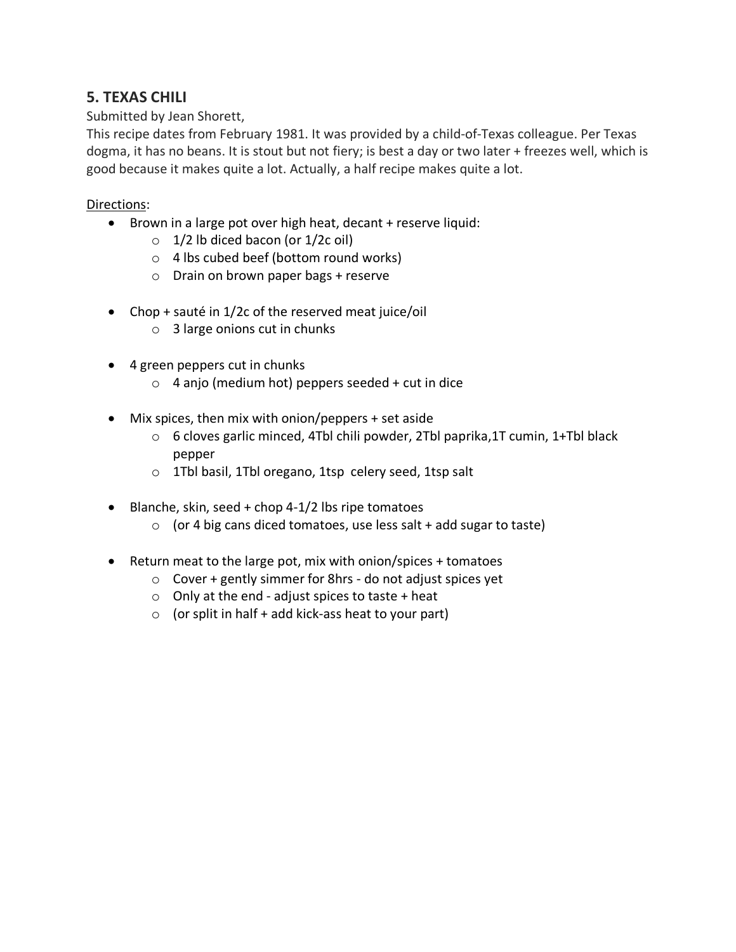### <span id="page-6-0"></span>**5. TEXAS CHILI**

### Submitted by Jean Shorett,

This recipe dates from February 1981. It was provided by a child-of-Texas colleague. Per Texas dogma, it has no beans. It is stout but not fiery; is best a day or two later + freezes well, which is good because it makes quite a lot. Actually, a half recipe makes quite a lot.

- Brown in a large pot over high heat, decant + reserve liquid:
	- $\circ$  1/2 lb diced bacon (or 1/2c oil)
	- o 4 lbs cubed beef (bottom round works)
	- o Drain on brown paper bags + reserve
- Chop + sauté in 1/2c of the reserved meat juice/oil
	- $\circ$  3 large onions cut in chunks
- 4 green peppers cut in chunks
	- $\circ$  4 anjo (medium hot) peppers seeded + cut in dice
- Mix spices, then mix with onion/peppers + set aside
	- o 6 cloves garlic minced, 4Tbl chili powder, 2Tbl paprika,1T cumin, 1+Tbl black pepper
	- o 1Tbl basil, 1Tbl oregano, 1tsp celery seed, 1tsp salt
- Blanche, skin, seed + chop 4-1/2 lbs ripe tomatoes
	- $\circ$  (or 4 big cans diced tomatoes, use less salt + add sugar to taste)
- Return meat to the large pot, mix with onion/spices + tomatoes
	- o Cover + gently simmer for 8hrs do not adjust spices yet
	- $\circ$  Only at the end adjust spices to taste + heat
	- $\circ$  (or split in half + add kick-ass heat to your part)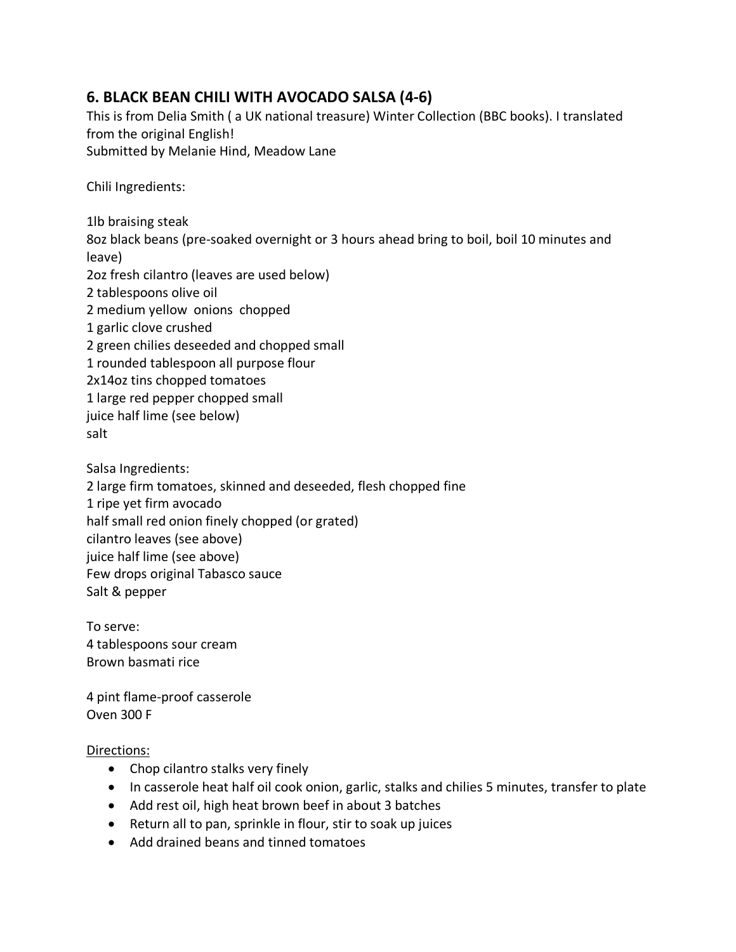## <span id="page-7-0"></span>**6. BLACK BEAN CHILI WITH AVOCADO SALSA (4-6)**

This is from Delia Smith ( a UK national treasure) Winter Collection (BBC books). I translated from the original English! Submitted by Melanie Hind, Meadow Lane

Chili Ingredients:

1lb braising steak 8oz black beans (pre-soaked overnight or 3 hours ahead bring to boil, boil 10 minutes and leave) 2oz fresh cilantro (leaves are used below) 2 tablespoons olive oil 2 medium yellow onions chopped 1 garlic clove crushed 2 green chilies deseeded and chopped small 1 rounded tablespoon all purpose flour 2x14oz tins chopped tomatoes 1 large red pepper chopped small juice half lime (see below) salt

Salsa Ingredients: 2 large firm tomatoes, skinned and deseeded, flesh chopped fine 1 ripe yet firm avocado half small red onion finely chopped (or grated) cilantro leaves (see above) juice half lime (see above) Few drops original Tabasco sauce Salt & pepper

To serve: 4 tablespoons sour cream Brown basmati rice

4 pint flame-proof casserole Oven 300 F

- Chop cilantro stalks very finely
- In casserole heat half oil cook onion, garlic, stalks and chilies 5 minutes, transfer to plate
- Add rest oil, high heat brown beef in about 3 batches
- Return all to pan, sprinkle in flour, stir to soak up juices
- Add drained beans and tinned tomatoes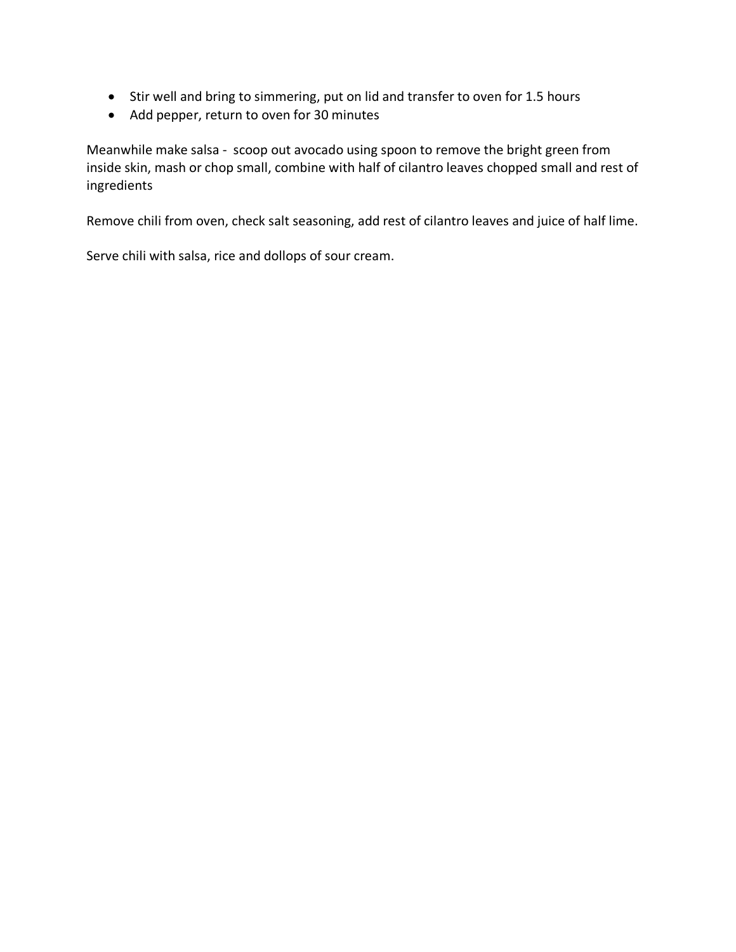- Stir well and bring to simmering, put on lid and transfer to oven for 1.5 hours
- Add pepper, return to oven for 30 minutes

Meanwhile make salsa - scoop out avocado using spoon to remove the bright green from inside skin, mash or chop small, combine with half of cilantro leaves chopped small and rest of ingredients

Remove chili from oven, check salt seasoning, add rest of cilantro leaves and juice of half lime.

Serve chili with salsa, rice and dollops of sour cream.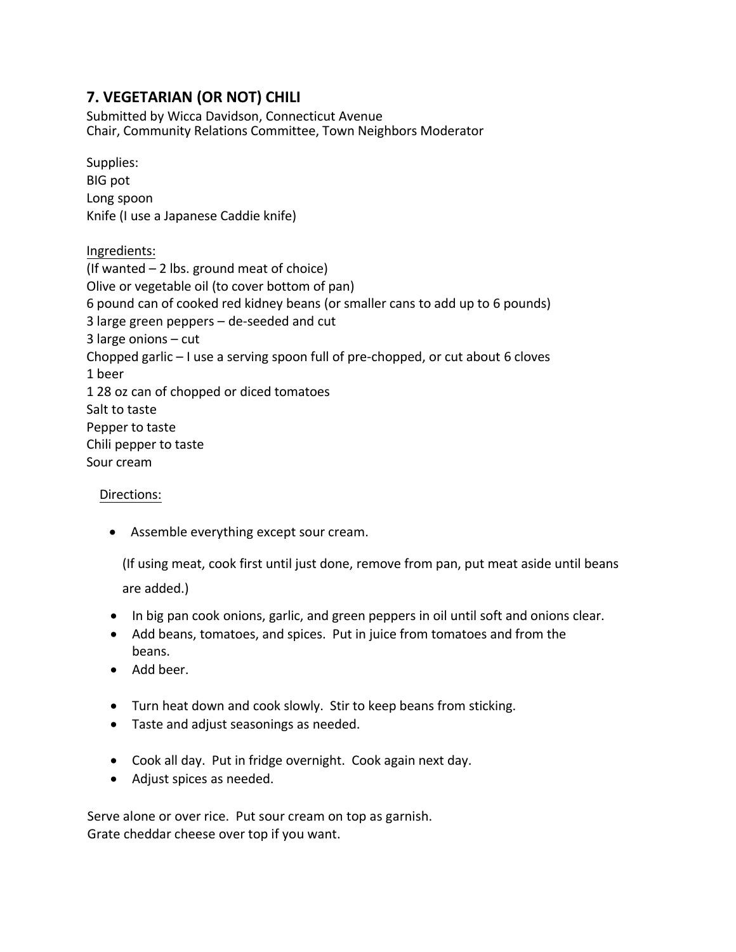### <span id="page-9-0"></span>**7. VEGETARIAN (OR NOT) CHILI**

Submitted by Wicca Davidson, Connecticut Avenue Chair, Community Relations Committee, Town Neighbors Moderator

Supplies: BIG pot Long spoon Knife (I use a Japanese Caddie knife) Ingredients: (If wanted – 2 lbs. ground meat of choice) Olive or vegetable oil (to cover bottom of pan) 6 pound can of cooked red kidney beans (or smaller cans to add up to 6 pounds) 3 large green peppers – de-seeded and cut 3 large onions – cut Chopped garlic – I use a serving spoon full of pre-chopped, or cut about 6 cloves 1 beer 1 28 oz can of chopped or diced tomatoes Salt to taste Pepper to taste Chili pepper to taste Sour cream

### Directions:

• Assemble everything except sour cream.

(If using meat, cook first until just done, remove from pan, put meat aside until beans

are added.)

- In big pan cook onions, garlic, and green peppers in oil until soft and onions clear.
- Add beans, tomatoes, and spices. Put in juice from tomatoes and from the beans.
- Add beer.
- Turn heat down and cook slowly. Stir to keep beans from sticking.
- Taste and adjust seasonings as needed.
- Cook all day. Put in fridge overnight. Cook again next day.
- Adjust spices as needed.

Serve alone or over rice. Put sour cream on top as garnish. Grate cheddar cheese over top if you want.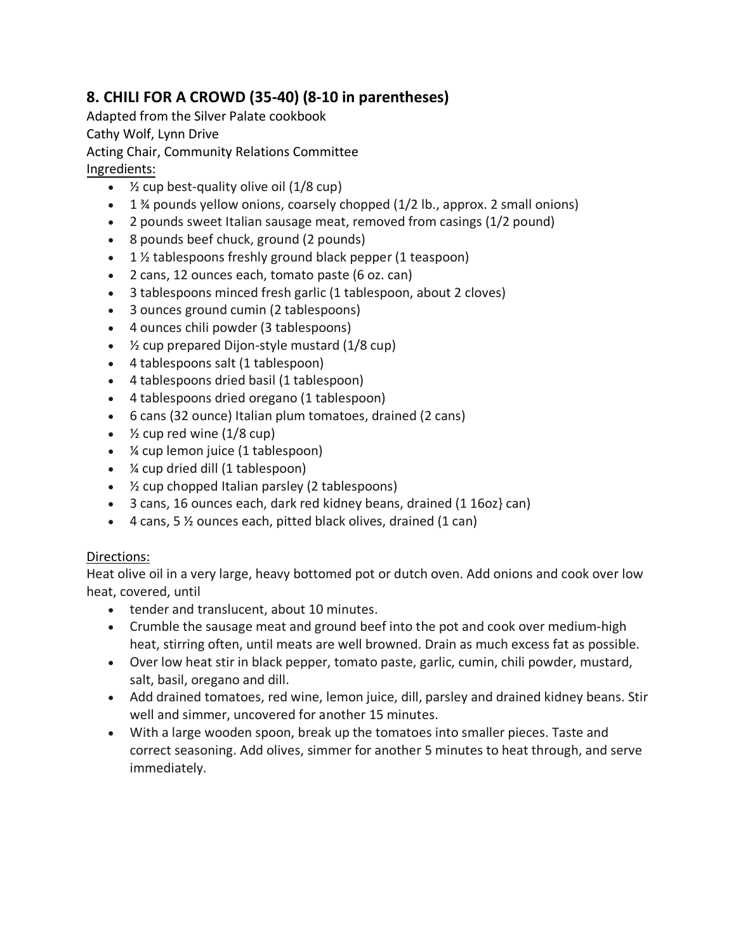# <span id="page-10-0"></span>**8. CHILI FOR A CROWD (35-40) (8-10 in parentheses)**

Adapted from the Silver Palate cookbook

Cathy Wolf, Lynn Drive

Acting Chair, Community Relations Committee

Ingredients:

- $\frac{1}{2}$  cup best-quality olive oil (1/8 cup)
- 1 ¾ pounds yellow onions, coarsely chopped (1/2 lb., approx. 2 small onions)
- 2 pounds sweet Italian sausage meat, removed from casings (1/2 pound)
- 8 pounds beef chuck, ground (2 pounds)
- 1 % tablespoons freshly ground black pepper (1 teaspoon)
- 2 cans, 12 ounces each, tomato paste (6 oz. can)
- 3 tablespoons minced fresh garlic (1 tablespoon, about 2 cloves)
- 3 ounces ground cumin (2 tablespoons)
- 4 ounces chili powder (3 tablespoons)
- $\frac{1}{2}$  cup prepared Dijon-style mustard (1/8 cup)
- 4 tablespoons salt (1 tablespoon)
- 4 tablespoons dried basil (1 tablespoon)
- 4 tablespoons dried oregano (1 tablespoon)
- 6 cans (32 ounce) Italian plum tomatoes, drained (2 cans)
- $\frac{1}{2}$  cup red wine (1/8 cup)
- ¼ cup lemon juice (1 tablespoon)
- ¼ cup dried dill (1 tablespoon)
- ½ cup chopped Italian parsley (2 tablespoons)
- 3 cans, 16 ounces each, dark red kidney beans, drained (1 16oz} can)
- $\bullet$  4 cans, 5 % ounces each, pitted black olives, drained (1 can)

### Directions:

Heat olive oil in a very large, heavy bottomed pot or dutch oven. Add onions and cook over low heat, covered, until

- tender and translucent, about 10 minutes.
- Crumble the sausage meat and ground beef into the pot and cook over medium-high heat, stirring often, until meats are well browned. Drain as much excess fat as possible.
- Over low heat stir in black pepper, tomato paste, garlic, cumin, chili powder, mustard, salt, basil, oregano and dill.
- Add drained tomatoes, red wine, lemon juice, dill, parsley and drained kidney beans. Stir well and simmer, uncovered for another 15 minutes.
- With a large wooden spoon, break up the tomatoes into smaller pieces. Taste and correct seasoning. Add olives, simmer for another 5 minutes to heat through, and serve immediately.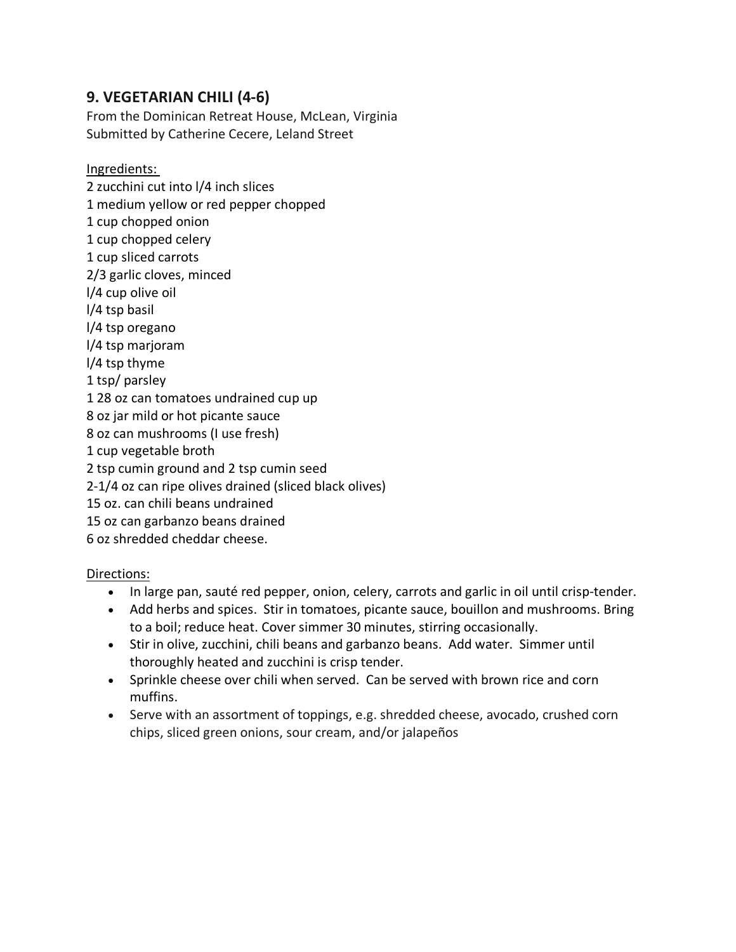### <span id="page-11-0"></span>**9. VEGETARIAN CHILI (4-6)**

From the Dominican Retreat House, McLean, Virginia Submitted by Catherine Cecere, Leland Street

Ingredients:

2 zucchini cut into l/4 inch slices 1 medium yellow or red pepper chopped 1 cup chopped onion 1 cup chopped celery 1 cup sliced carrots 2/3 garlic cloves, minced l/4 cup olive oil l/4 tsp basil l/4 tsp oregano l/4 tsp marjoram l/4 tsp thyme 1 tsp/ parsley 1 28 oz can tomatoes undrained cup up 8 oz jar mild or hot picante sauce 8 oz can mushrooms (I use fresh) 1 cup vegetable broth 2 tsp cumin ground and 2 tsp cumin seed 2-1/4 oz can ripe olives drained (sliced black olives) 15 oz. can chili beans undrained 15 oz can garbanzo beans drained 6 oz shredded cheddar cheese.

- In large pan, sauté red pepper, onion, celery, carrots and garlic in oil until crisp-tender.
- Add herbs and spices. Stir in tomatoes, picante sauce, bouillon and mushrooms. Bring to a boil; reduce heat. Cover simmer 30 minutes, stirring occasionally.
- Stir in olive, zucchini, chili beans and garbanzo beans. Add water. Simmer until thoroughly heated and zucchini is crisp tender.
- Sprinkle cheese over chili when served. Can be served with brown rice and corn muffins.
- Serve with an assortment of toppings, e.g. shredded cheese, avocado, crushed corn chips, sliced green onions, sour cream, and/or jalapeños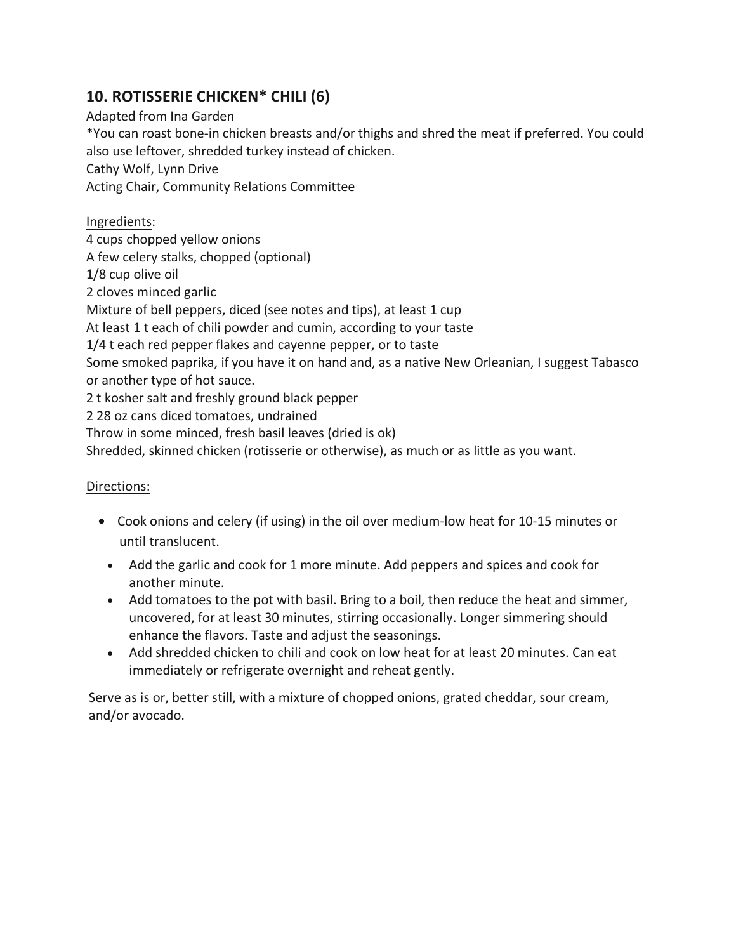## <span id="page-12-0"></span>**10. ROTISSERIE CHICKEN\* CHILI (6)**

Adapted from Ina Garden \*You can roast bone-in chicken breasts and/or thighs and shred the meat if preferred. You could also use leftover, shredded turkey instead of chicken. Cathy Wolf, Lynn Drive Acting Chair, Community Relations Committee

Ingredients: 4 cups chopped yellow onions A few celery stalks, chopped (optional) 1/8 cup olive oil 2 cloves minced garlic Mixture of bell peppers, diced (see notes and tips), at least 1 cup At least 1 t each of chili powder and cumin, according to your taste 1/4 t each red pepper flakes and cayenne pepper, or to taste Some smoked paprika, if you have it on hand and, as a native New Orleanian, I suggest Tabasco or another type of hot sauce. 2 t kosher salt and freshly ground black pepper 2 28 oz cans diced tomatoes, undrained Throw in some minced, fresh basil leaves (dried is ok) Shredded, skinned chicken (rotisserie or otherwise), as much or as little as you want.

### Directions:

- Cook onions and celery (if using) in the oil over medium-low heat for 10-15 minutes or until translucent.
	- Add the garlic and cook for 1 more minute. Add peppers and spices and cook for another minute.
	- Add tomatoes to the pot with basil. Bring to a boil, then reduce the heat and simmer, uncovered, for at least 30 minutes, stirring occasionally. Longer simmering should enhance the flavors. Taste and adjust the seasonings.
	- Add shredded chicken to chili and cook on low heat for at least 20 minutes. Can eat immediately or refrigerate overnight and reheat gently.

Serve as is or, better still, with a mixture of chopped onions, grated cheddar, sour cream, and/or avocado.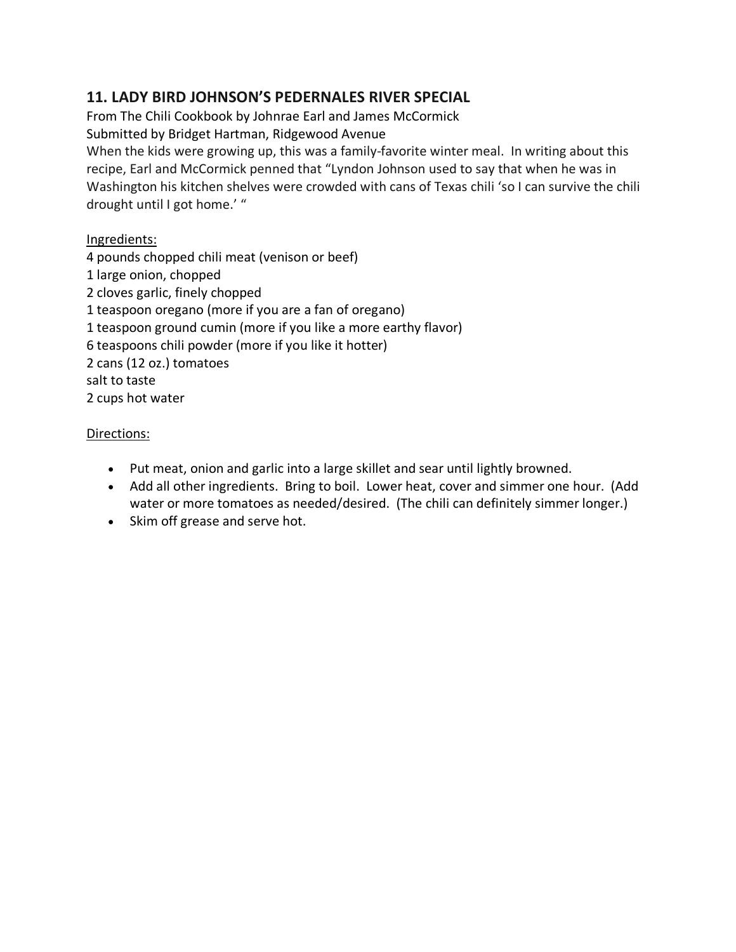## <span id="page-13-0"></span>**11. LADY BIRD JOHNSON'S PEDERNALES RIVER SPECIAL**

From The Chili Cookbook by Johnrae Earl and James McCormick

Submitted by Bridget Hartman, Ridgewood Avenue

When the kids were growing up, this was a family-favorite winter meal. In writing about this recipe, Earl and McCormick penned that "Lyndon Johnson used to say that when he was in Washington his kitchen shelves were crowded with cans of Texas chili 'so I can survive the chili drought until I got home.' "

### Ingredients:

4 pounds chopped chili meat (venison or beef) 1 large onion, chopped 2 cloves garlic, finely chopped 1 teaspoon oregano (more if you are a fan of oregano) 1 teaspoon ground cumin (more if you like a more earthy flavor) 6 teaspoons chili powder (more if you like it hotter) 2 cans (12 oz.) tomatoes salt to taste 2 cups hot water

- Put meat, onion and garlic into a large skillet and sear until lightly browned.
- Add all other ingredients. Bring to boil. Lower heat, cover and simmer one hour. (Add water or more tomatoes as needed/desired. (The chili can definitely simmer longer.)
- Skim off grease and serve hot.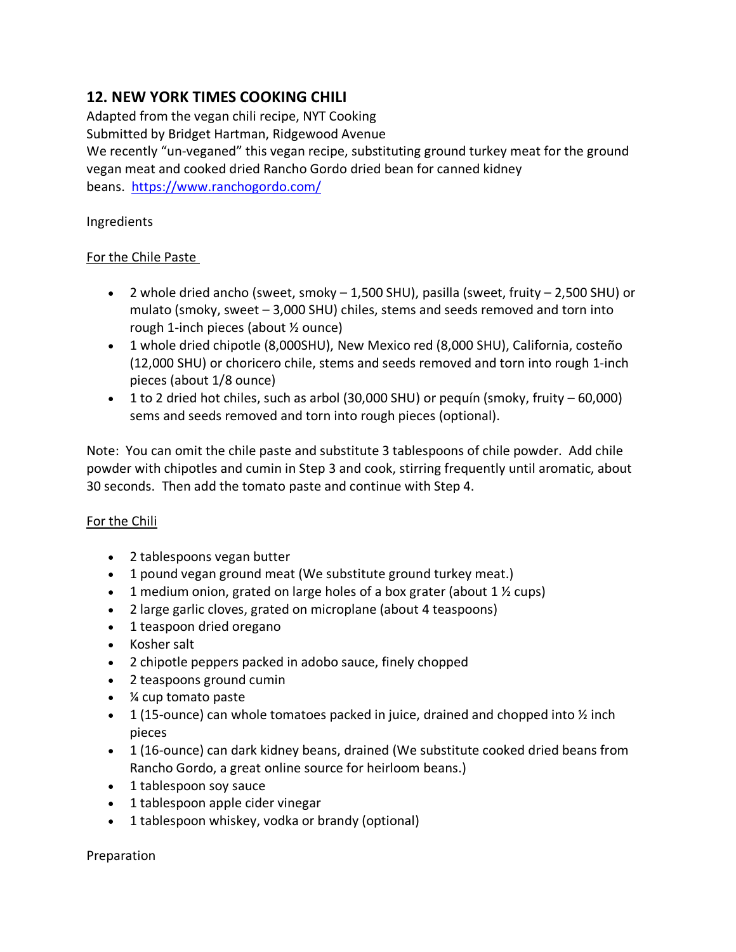# <span id="page-14-0"></span>**12. NEW YORK TIMES COOKING CHILI**

Adapted from the vegan chili recipe, NYT Cooking Submitted by Bridget Hartman, Ridgewood Avenue We recently "un-veganed" this vegan recipe, substituting ground turkey meat for the ground vegan meat and cooked dried Rancho Gordo dried bean for canned kidney beans. <https://www.ranchogordo.com/>

Ingredients

### For the Chile Paste

- 2 whole dried ancho (sweet, smoky 1,500 SHU), pasilla (sweet, fruity 2,500 SHU) or mulato (smoky, sweet – 3,000 SHU) chiles, stems and seeds removed and torn into rough 1-inch pieces (about ½ ounce)
- 1 whole dried chipotle (8,000SHU), New Mexico red (8,000 SHU), California, costeño (12,000 SHU) or choricero chile, stems and seeds removed and torn into rough 1-inch pieces (about 1/8 ounce)
- 1 to 2 dried hot chiles, such as arbol (30,000 SHU) or pequín (smoky, fruity 60,000) sems and seeds removed and torn into rough pieces (optional).

Note: You can omit the chile paste and substitute 3 tablespoons of chile powder. Add chile powder with chipotles and cumin in Step 3 and cook, stirring frequently until aromatic, about 30 seconds. Then add the tomato paste and continue with Step 4.

### For the Chili

- 2 tablespoons vegan butter
- 1 pound vegan ground meat (We substitute ground turkey meat.)
- 1 medium onion, grated on large holes of a box grater (about  $1\frac{1}{2}$  cups)
- 2 large garlic cloves, grated on microplane (about 4 teaspoons)
- 1 teaspoon dried oregano
- Kosher salt
- 2 chipotle peppers packed in adobo sauce, finely chopped
- 2 teaspoons ground cumin
- ¼ cup tomato paste
- 1 (15-ounce) can whole tomatoes packed in juice, drained and chopped into  $\frac{1}{2}$  inch pieces
- 1 (16-ounce) can dark kidney beans, drained (We substitute cooked dried beans from Rancho Gordo, a great online source for heirloom beans.)
- 1 tablespoon soy sauce
- 1 tablespoon apple cider vinegar
- 1 tablespoon whiskey, vodka or brandy (optional)

Preparation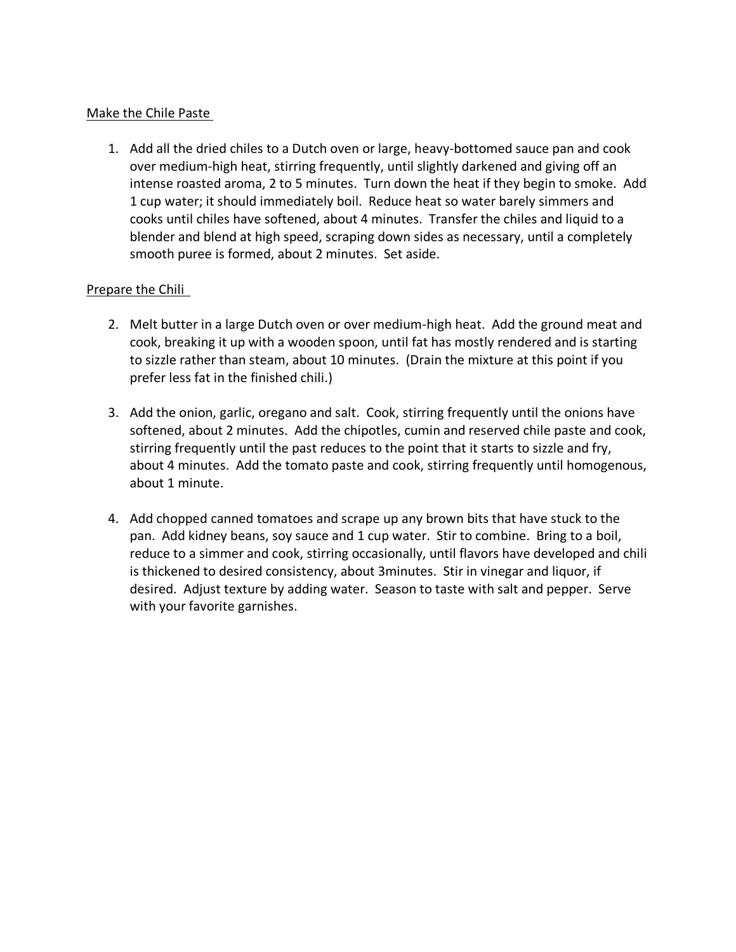#### Make the Chile Paste

1. Add all the dried chiles to a Dutch oven or large, heavy-bottomed sauce pan and cook over medium-high heat, stirring frequently, until slightly darkened and giving off an intense roasted aroma, 2 to 5 minutes. Turn down the heat if they begin to smoke. Add 1 cup water; it should immediately boil. Reduce heat so water barely simmers and cooks until chiles have softened, about 4 minutes. Transfer the chiles and liquid to a blender and blend at high speed, scraping down sides as necessary, until a completely smooth puree is formed, about 2 minutes. Set aside.

### Prepare the Chili

- 2. Melt butter in a large Dutch oven or over medium-high heat. Add the ground meat and cook, breaking it up with a wooden spoon, until fat has mostly rendered and is starting to sizzle rather than steam, about 10 minutes. (Drain the mixture at this point if you prefer less fat in the finished chili.)
- 3. Add the onion, garlic, oregano and salt. Cook, stirring frequently until the onions have softened, about 2 minutes. Add the chipotles, cumin and reserved chile paste and cook, stirring frequently until the past reduces to the point that it starts to sizzle and fry, about 4 minutes. Add the tomato paste and cook, stirring frequently until homogenous, about 1 minute.
- 4. Add chopped canned tomatoes and scrape up any brown bits that have stuck to the pan. Add kidney beans, soy sauce and 1 cup water. Stir to combine. Bring to a boil, reduce to a simmer and cook, stirring occasionally, until flavors have developed and chili is thickened to desired consistency, about 3minutes. Stir in vinegar and liquor, if desired. Adjust texture by adding water. Season to taste with salt and pepper. Serve with your favorite garnishes.